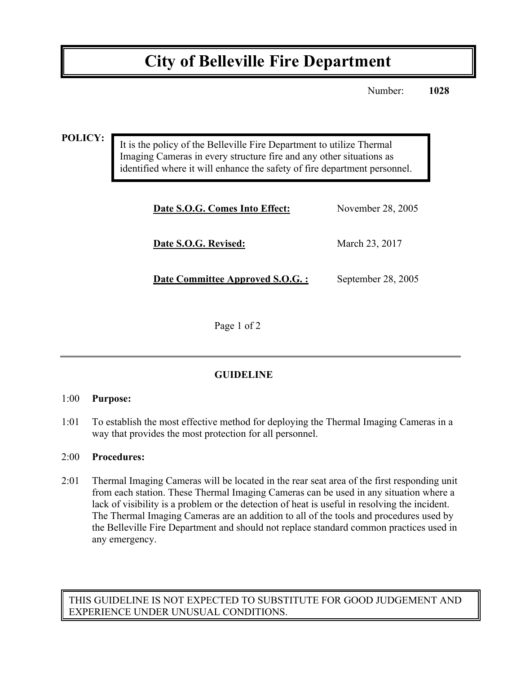# **City of Belleville Fire Department**

Number: **1028**

**POLICY:**

It is the policy of the Belleville Fire Department to utilize Thermal Imaging Cameras in every structure fire and any other situations as identified where it will enhance the safety of fire department personnel.

| Date S.O.G. Comes Into Effect:  | November 28, 2005  |
|---------------------------------|--------------------|
| Date S.O.G. Revised:            | March 23, 2017     |
| Date Committee Approved S.O.G.: | September 28, 2005 |

Page 1 of 2

# **GUIDELINE**

#### 1:00 **Purpose:**

1:01 To establish the most effective method for deploying the Thermal Imaging Cameras in a way that provides the most protection for all personnel.

#### 2:00 **Procedures:**

2:01 Thermal Imaging Cameras will be located in the rear seat area of the first responding unit from each station. These Thermal Imaging Cameras can be used in any situation where a lack of visibility is a problem or the detection of heat is useful in resolving the incident. The Thermal Imaging Cameras are an addition to all of the tools and procedures used by the Belleville Fire Department and should not replace standard common practices used in any emergency.

THIS GUIDELINE IS NOT EXPECTED TO SUBSTITUTE FOR GOOD JUDGEMENT AND EXPERIENCE UNDER UNUSUAL CONDITIONS.